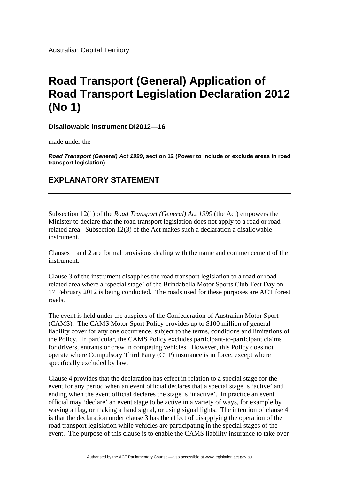Australian Capital Territory

## **Road Transport (General) Application of Road Transport Legislation Declaration 2012 (No 1)**

**Disallowable instrument DI2012—16**

made under the

*Road Transport (General) Act 1999***, section 12 (Power to include or exclude areas in road transport legislation)**

## **EXPLANATORY STATEMENT**

Subsection 12(1) of the *Road Transport (General) Act 1999* (the Act) empowers the Minister to declare that the road transport legislation does not apply to a road or road related area. Subsection 12(3) of the Act makes such a declaration a disallowable instrument.

Clauses 1 and 2 are formal provisions dealing with the name and commencement of the instrument.

Clause 3 of the instrument disapplies the road transport legislation to a road or road related area where a 'special stage' of the Brindabella Motor Sports Club Test Day on 17 February 2012 is being conducted. The roads used for these purposes are ACT forest roads.

The event is held under the auspices of the Confederation of Australian Motor Sport (CAMS). The CAMS Motor Sport Policy provides up to \$100 million of general liability cover for any one occurrence, subject to the terms, conditions and limitations of the Policy. In particular, the CAMS Policy excludes participant-to-participant claims for drivers, entrants or crew in competing vehicles. However, this Policy does not operate where Compulsory Third Party (CTP) insurance is in force, except where specifically excluded by law.

Clause 4 provides that the declaration has effect in relation to a special stage for the event for any period when an event official declares that a special stage is 'active' and ending when the event official declares the stage is 'inactive'. In practice an event official may 'declare' an event stage to be active in a variety of ways, for example by waving a flag, or making a hand signal, or using signal lights. The intention of clause 4 is that the declaration under clause 3 has the effect of disapplying the operation of the road transport legislation while vehicles are participating in the special stages of the event. The purpose of this clause is to enable the CAMS liability insurance to take over